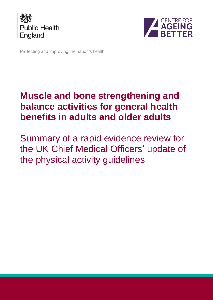



Protecting and improving the nation's health

# **Muscle and bone strengthening and balance activities for general health benefits in adults and older adults**

Summary of a rapid evidence review for the UK Chief Medical Officers' update of the physical activity guidelines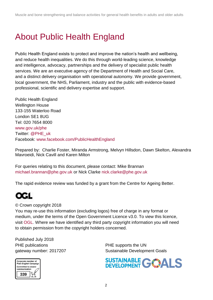# <span id="page-1-0"></span>About Public Health England

Public Health England exists to protect and improve the nation's health and wellbeing, and reduce health inequalities. We do this through world-leading science, knowledge and intelligence, advocacy, partnerships and the delivery of specialist public health services. We are an executive agency of the Department of Health and Social Care, and a distinct delivery organisation with operational autonomy. We provide government, local government, the NHS, Parliament, industry and the public with evidence-based professional, scientific and delivery expertise and support.

Public Health England Wellington House 133-155 Waterloo Road London SE1 8UG Tel: 020 7654 8000 [www.gov.uk/phe](http://www.gov.uk/phe) Twitter: [@PHE\\_uk](https://twitter.com/PHE_uk) Facebook: [www.facebook.com/PublicHealthEngland](http://www.facebook.com/PublicHealthEngland)

Prepared by: Charlie Foster, Miranda Armstrong, Melvyn Hillsdon, Dawn Skelton, Alexandra Mavroeidi, Nick Cavill and Karen Milton

For queries relating to this document, please contact: Mike Brannan [michael.brannan@phe.gov.uk](mailto:michael.brannan@phe.gov.uk) or Nick Clarke [nick.clarke@phe.gov.uk](mailto:nick.clarke@phe.gov.uk)

The rapid evidence review was funded by a grant from the Centre for Ageing Better.



© Crown copyright 2018

You may re-use this information (excluding logos) free of charge in any format or medium, under the terms of the Open Government Licence v3.0. To view this licence, visit [OGL.](https://www.nationalarchives.gov.uk/doc/open-government-licence/version/3/) Where we have identified any third party copyright information you will need to obtain permission from the copyright holders concerned.

Published July 2018 PHE publications **PHE** supports the UN



gateway number: 2017207 Sustainable Development Goals

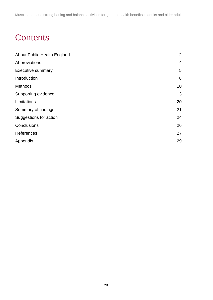Muscle and bone strengthening and balance activities for general health benefits in adults and older adults

# **Contents**

| About Public Health England | $\overline{2}$ |
|-----------------------------|----------------|
| Abbreviations               | $\overline{4}$ |
| <b>Executive summary</b>    | 5              |
| Introduction                | 8              |
| <b>Methods</b>              | 10             |
| Supporting evidence         | 13             |
| Limitations                 | 20             |
| Summary of findings         | 21             |
| Suggestions for action      | 24             |
| Conclusions                 | 26             |
| References                  | 27             |
| Appendix                    | 29             |
|                             |                |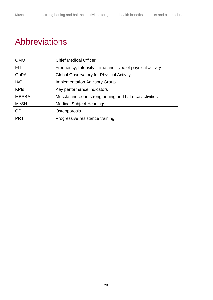# <span id="page-3-0"></span>Abbreviations

| <b>CMO</b>   | <b>Chief Medical Officer</b>                             |
|--------------|----------------------------------------------------------|
| <b>FITT</b>  | Frequency, Intensity, Time and Type of physical activity |
| GoPA         | <b>Global Observatory for Physical Activity</b>          |
| <b>IAG</b>   | <b>Implementation Advisory Group</b>                     |
| <b>KPIs</b>  | Key performance indicators                               |
| <b>MBSBA</b> | Muscle and bone strengthening and balance activities     |
| <b>MeSH</b>  | <b>Medical Subject Headings</b>                          |
| <b>OP</b>    | Osteoporosis                                             |
| <b>PRT</b>   | Progressive resistance training                          |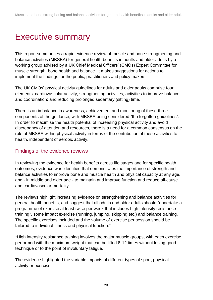# <span id="page-4-0"></span>Executive summary

This report summarises a rapid evidence review of muscle and bone strengthening and balance activities (MBSBA) for general health benefits in adults and older adults by a working group advised by a UK Chief Medical Officers' (CMOs) Expert Committee for muscle strength, bone health and balance. It makes suggestions for actions to implement the findings for the public, practitioners and policy makers.

The UK CMOs' physical activity guidelines for adults and older adults comprise four elements: cardiovascular activity; strengthening activities; activities to improve balance and coordination; and reducing prolonged sedentary (sitting) time.

There is an imbalance in awareness, achievement and monitoring of these three components of the guidance, with MBSBA being considered "the forgotten guidelines". In order to maximise the health potential of increasing physical activity and avoid discrepancy of attention and resources, there is a need for a common consensus on the role of MBSBA within physical activity in terms of the contribution of these activities to health, independent of aerobic activity.

### Findings of the evidence reviews

In reviewing the evidence for health benefits across life stages and for specific health outcomes, evidence was identified that demonstrates the importance of strength and balance activities to improve bone and muscle health and physical capacity at any age, and - in middle and older age - to maintain and improve function and reduce all-cause and cardiovascular mortality.

The reviews highlight increasing evidence on strengthening and balance activities for general health benefits, and suggest that all adults and older adults should "undertake a programme of exercise at least twice per week that includes high intensity resistance training\*, some impact exercise (running, jumping, skipping etc.) and balance training. The specific exercises included and the volume of exercise per session should be tailored to individual fitness and physical function."

\*High intensity resistance training involves the major muscle groups, with each exercise performed with the maximum weight that can be lifted 8-12 times without losing good technique or to the point of involuntary fatigue.

The evidence highlighted the variable impacts of different types of sport, physical activity or exercise.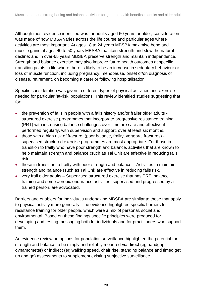Although most evidence identified was for adults aged 60 years or older, consideration was made of how MBSA varies across the life course and particular ages where activities are most important. At ages 18 to 24 years MBSBA maximise bone and muscle gains;at ages 40 to 50 years MBSBA maintain strength and slow the natural decline; and in over-65 years MBSBA preserve strength and maintain independence. Strength and balance exercise may also improve future health outcomes at specific transition points in life where there is likely to be an increase in sedentary behaviour or loss of muscle function, including pregnancy, menopause, onset of/on diagnosis of disease, retirement, on becoming a carer or following hospitalisation.

Specific consideration was given to different types of physical activities and exercise needed for particular 'at-risk' populations. This review identified studies suggesting that for:

- the prevention of falls in people with a falls history and/or frailer older adults structured exercise programmes that incorporate progressive resistance training (PRT) with increasing balance challenges over time are safe and effective if performed regularly, with supervision and support, over at least six months.
- those with a high risk of fracture, (poor balance, frailty, vertebral fractures) supervised structured exercise programmes are most appropriate. For those in transition to frailty who have poor strength and balance, activities that are known to help maintain strength and balance (such as Tai Chi) are effective in reducing falls risk.
- those in transition to frailty with poor strength and balance Activities to maintain strength and balance (such as Tai Chi) are effective in reducing falls risk.
- very frail older adults Supervised structured exercise that has PRT, balance training and some aerobic endurance activities, supervised and progressed by a trained person, are advocated.

Barriers and enablers for individuals undertaking MBSBA are similar to those that apply to physical activity more generally. The evidence highlighted specific barriers to resistance training for older people, which were a mix of personal, social and environmental. Based on these findings specific principles were produced for developing and testing messaging both for individuals and for practitioners who support them.

An evidence review on options for population surveillance highlighted the potential for strength and balance to be simply and reliably meaured via direct (eg handgrip dynamometer) or indirect (eg walking speed, chair rise, standing balance and timed get up and go) assessments to supplement existing subjective surveillance.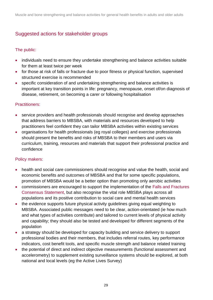## Suggested actions for stakeholder groups

### The public:

- individuals need to ensure they undertake strengthening and balance activities suitable for them at least twice per week
- for those at risk of falls or fracture due to poor fitness or physical function, supervised structured exercise is recommended
- specific consideration of and undertaking strengthening and balance activities is important at key transition points in life: pregnancy, menopause, onset of/on diagnosis of disease, retirement, on becoming a carer or following hospitalisation

#### Practitioners:

- service providers and health professionals should recognise and develop approaches that address barriers to MBSBA, with materials and resources developed to help practitioners feel confident they can tailor MBSBA activities within existing services
- organisations for health professionals (eg royal colleges) and exercise professionals should present the benefits and risks of MBSBA to their members and users via curriculum, training, resources and materials that support their professional practice and confidence

#### Policy makers:

- health and social care commissioners should recognise and value the health, social and economic benefits and outcomes of MBSBA and that for some specific populations, promotion of MBSBA would be a better option than promoting only aerobic activities
- commissioners are encouraged to support the implementation of the [Falls and Fractures](https://www.gov.uk/government/publications/falls-and-fractures-consensus-statement)  [Consensus Statement,](https://www.gov.uk/government/publications/falls-and-fractures-consensus-statement) but also recognise the vital role MBSBA plays across all populations and its positive contribution to social care and mental health services
- the evidence supports future physical activity guidelines giving equal weighting to MBSBA. Associated public messages need to be clear, action-orientated (ie how much and what types of activities contribute) and tailored to current levels of physical activity and capability; they should also be tested and developed for different segments of the population
- a strategy should be developed for capacity building and service delivery to support professional bodies and their members, that includes referral routes, key performance indicators, cost benefit tools, and specific muscle strength and balance related training
- the potential of direct and indirect objective measurements (functional assessment and accelerometry) to supplement existing surveillance systems should be explored, at both national and local levels (eg the Active Lives Survey)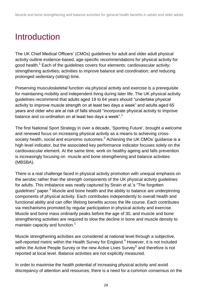# <span id="page-7-0"></span>Introduction

The UK Chief Medical Officers' (CMOs) guidelines for adult and older adult physical activity outline evidence-based, age-specific recommendations for physical activity for good health.<sup>1</sup> Each of the guidelines covers four elements: cardiovascular activity; strengthening activities; activities to improve balance and coordination; and reducing prolonged sedentary (sitting) time.

Preserving musculoskeletal function via physical activity and exercise is a prerequisite for maintaining mobility and independent living during later life. The UK physical activity guidelines recommend that adults aged 19 to 64 years should "undertake physical activity to improve muscle strength on at least two days a week" and adults aged 65 years and older who are at risk of falls should "incorporate physical activity to improve balance and co-ordination on at least two days a week".<sup>1</sup>

The first National Sport Strategy in over a decade, 'Sporting Future', brought a welcome and renewed focus on increasing physical activity as a means to achieving crosssociety health, social and economic outcomes.<sup>2</sup> Achieving the UK CMOs' guidance is a high level indicator, but the associated key performance indicator focuses solely on the cardiovascular element. At the same time, work on healthy ageing and falls prevention is increasingly focusing on muscle and bone strengthening and balance activities (MBSBA).

There is a real challenge faced in physical activity promotion with unequal emphasis on the aerobic rather than the strength components of the UK physical activity guidelines for adults. This imbalance was neatly captured by Strain et al.'s "The forgotten guidelines" paper.<sup>3</sup> Muscle and bone health and the ability to balance are underpinning components of physical activity. Each contributes independently to overall health and functional ability and can offer lifelong benefits across the life course. Each contributes via mechanisms promoted by regular participation in physical activity and exercise. Muscle and bone mass ordinarily peaks before the age of 30, and muscle and bone strengthening activities are required to slow the decline in bone and muscle density to maintain capacity and function.<sup>1</sup>

Muscle strengthening activities are considered at national level through a subjective, self-reported metric within the Health Survey for England.<sup>4</sup> However, it is not included within the Active People Survey or the new Active Lives Survey<sup>5</sup> and therefore is not reported at local level. Balance activities are not explicitly measured.

In order to maximise the health potential of increasing physical activity and avoid discrepancy of attention and resources, there is a need for a common consensus on the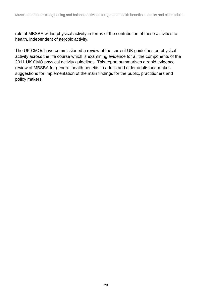role of MBSBA within physical activity in terms of the contribution of these activities to health, independent of aerobic activity.

<span id="page-8-0"></span>The UK CMOs have commissioned a review of the current UK guidelines on physical activity across the life course which is examining evidence for all the components of the 2011 UK CMO physical activity guidelines. This report summarises a rapid evidence review of MBSBA for general health benefits in adults and older adults and makes suggestions for implementation of the main findings for the public, practitioners and policy makers.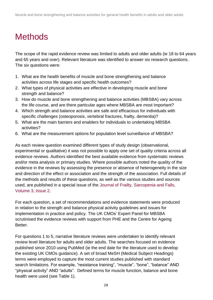# **Methods**

The scope of the rapid evidence review was limited to adults and older adults (ie 18 to 64 years and 65 years and over). Relevant literature was identified to answer six research questions. The six questions were:

- 1. What are the health benefits of muscle and bone strengthening and balance activities across life stages and specific health outcomes?
- 2. What types of physical activities are effective in developing muscle and bone strength and balance?
- 3. How do muscle and bone strengthening and balance activities (MBSBA) vary across the life course, and are there particular ages where MBSBA are most important?
- 4. Which strength and balance activities are safe and efficacious for individuals with specific challenges (osteoporosis, vertebral fractures, frailty, dementia)?
- 5. What are the main barriers and enablers for individuals to undertaking MBSBA activities?
- 6. What are the measurement options for population level surveillance of MBSBA?

As each review question examined different types of study design (observational, experimental or qualitative) it was not possible to apply one set of quality criteria across all evidence reviews. Authors identified the best available evidence from systematic reviews and/or meta analysis or primary studies. Where possible authors noted the quality of the evidence in the reviews by assessing the presence or absence of heterogeneity in the size and direction of the effect or association and the strength of the association. Full details of the methods and results of these questions, as well as the various studies and sources used, are published in a special issue of the Journal of Frailty, [Sarcopenia](http://www.jfsf.eu/Issue.php?issue=v03i2) and Falls, [Volume 3, Issue 2.](http://www.jfsf.eu/Issue.php?issue=v03i2)

For each question, a set of recommendations and evidence statements were produced in relation to the strength and balance physical activity guidelines and issues for implementation in practice and policy. The UK CMOs' Expert Panel for MBSBA scrutinised the evidence reviews with support from PHE and the Centre for Ageing Better.

For questions 1 to 5, narrative literature reviews were undertaken to identify relevant review level literature for adults and older adults. The searches focused on evidence published since 2010 using PubMed (ie the end date for the literature used to develop the existing UK CMOs guidance). A set of broad MeSH (Medical Subject Headings) terms were employed to capture the most current studies published with standard search limitations. For example, "resistance training", "muscle", "bone", "balance" AND "physical activity" AND "adults". Defined terms for muscle function, balance and bone health were used (see Table 1).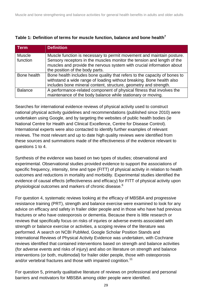| Term           | <b>Definition</b>                                                                                                                               |
|----------------|-------------------------------------------------------------------------------------------------------------------------------------------------|
| <b>Muscle</b>  | Muscle function is necessary to permit movement and maintain posture.                                                                           |
| function       | Sensory receptors in the muscles monitor the tension and length of the<br>muscles and provide the nervous system with crucial information about |
|                | the position of the body parts.                                                                                                                 |
| Bone health    | Bone health includes bone quality that refers to the capacity of bones to                                                                       |
|                | withstand a wide range of loading without breaking. Bone health also                                                                            |
|                | includes bone mineral content, structure, geometry and strength.                                                                                |
| <b>Balance</b> | A performance-related component of physical fitness that involves the                                                                           |
|                | maintenance of the body balance while stationary or moving.                                                                                     |

#### **Table 1: Definition of terms for muscle function, balance and bone health<sup>7</sup>**

Searches for international evidence reviews of physical activity used to construct national physical activity guidelines and recommendations (published since 2010) were undertaken using Google, and by targeting the websites of public health bodies (ie National Centre for Health and Clinical Excellence, Centre for Disease Control). International experts were also contacted to identify further examples of relevant reviews. The most relevant and up to date high quality reviews were identified from these sources and summations made of the effectiveness of the evidence relevant to questions 1 to 4.

Synthesis of the evidence was based on two types of studies; observational and experimental. Observational studies provided evidence to support the associations of specific frequency, intensity, time and type (FITT) of physical activity in relation to health outcomes and reductions in mortality and morbidity. Experimental studies identified the evidence of causal effects (effectiveness and efficacy) for FITT of physical activity upon physiological outcomes and markers of chronic disease.<sup>6</sup>

For question 4, systematic reviews looking at the efficacy of MBSBA and progressive resistance training (PRT), strength and balance exercise were examined to look for any advice on efficacy and safety in frailer older people and in those who have had previous fractures or who have osteoporosis or dementia. Because there is little research or reviews that specifically focus on risks of injuries or adverse events associated with strength or balance exercise or activities, a scoping review of the literature was performed. A search on NCBI PubMed, Google Scholar Position Stands and International Reviews of Physical Activity Evidence was undertaken, with Cochrane reviews identified that contained interventions based on strength and balance activities (for adverse events and risks of injury) and also on literature on strength and balance interventions (or both, multimodal) for frailer older people, those with osteoporosis and/or vertebral fractures and those with impaired cognition.<sup>11</sup>

For question 5, primarily qualitative literature of reviews on professional and personal barriers and motivators for MBSBA among older people were identified.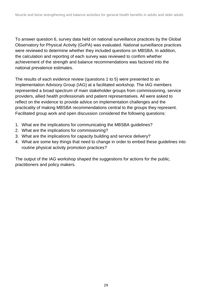To answer question 6, survey data held on national surveillance practices by the Global Observatory for Physical Activity (GoPA) was evaluated. National surveillance practices were reviewed to determine whether they included questions on MBSBA. In addition, the calculation and reporting of each survey was reviewed to confirm whether achievement of the strength and balance recommendations was factored into the national prevalence estimates.

The results of each evidence review (questions 1 to 5) were presented to an Implementation Advisory Group (IAG) at a facilitated workshop. The IAG members represented a broad spectrum of main stakeholder groups from commissioning, service providers, allied health professionals and patient representatives. All were asked to reflect on the evidence to provide advice on implementation challenges and the practicality of making MBSBA recommendations central to the groups they represent. Facilitated group work and open discussion considered the following questions:

- 1. What are the implications for communicating the MBSBA guidelines?
- 2. What are the implications for commissioning?
- 3. What are the implications for capacity building and service delivery?
- 4. What are some key things that need to change in order to embed these guidelines into routine physical activity promotion practices?

The output of the IAG workshop shaped the suggestions for actions for the public, practitioners and policy makers.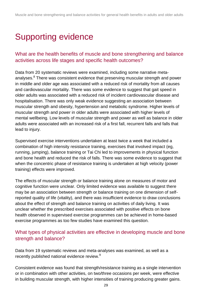# <span id="page-12-0"></span>Supporting evidence

## What are the health benefits of muscle and bone strengthening and balance activities across life stages and specific health outcomes?

Data from 20 systematic reviews were examined, including some narrative metaanalyses.<sup>8</sup> There was consistent evidence that preserving muscular strength and power in middle and older age was associated with a reduced risk of mortality from all causes and cardiovascular mortality. There was some evidence to suggest that gait speed in older adults was associated with a reduced risk of incident cardiovascular disease and hospitalisation. There was only weak evidence suggesting an association between muscular strength and obesity, hypertension and metabolic syndrome. Higher levels of muscular strength and power in older adults were associated with higher levels of mental wellbeing. Low levels of muscular strength and power as well as balance in older adults were associated with an increased risk of a first fall, recurrent falls and falls that lead to injury.

Supervised exercise interventions undertaken at least twice a week that included a combination of high intensity resistance training, exercises that involved impact (eg, running, jumping), balance training or Tai Chi led to improvements in physical function and bone health and reduced the risk of falls. There was some evidence to suggest that when the concentric phase of resistance training is undertaken at high velocity (power training) effects were improved.

The effects of muscular strength or balance training alone on measures of motor and cognitive function were unclear. Only limited evidence was available to suggest there may be an association between strength or balance training on one dimension of selfreported quality of life (vitality), and there was insufficient evidence to draw conclusions about the effect of strength and balance training on activities of daily living. It was unclear whether the prescribed exercises associated with positive effects on bone health observed in supervised exercise programmes can be achieved in home-based exercise programmes as too few studies have examined this question.

### What types of physical activities are effective in developing muscle and bone strength and balance?

Data from 19 systematic reviews and meta-analyses was examined, as well as a recently published national evidence review.<sup>9</sup>

Consistent evidence was found that strength/resistance training as a single intervention or in combination with other activities, on two/three occasions per week, were effective in building muscular strength, with higher intensities of training producing greater gains.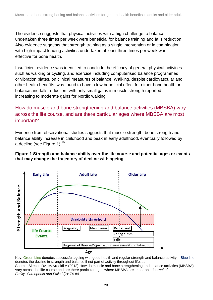The evidence suggests that physical activities with a high challenge to balance undertaken three times per week were beneficial for balance training and falls reduction. Also evidence suggests that strength training as a single intervention or in combination with high impact loading activities undertaken at least three times per week was effective for bone health.

Insufficient evidence was identified to conclude the efficacy of general physical activities such as walking or cycling, and exercise including computerised balance programmes or vibration plates, on clinical measures of balance. Walking, despite cardiovascular and other health benefits, was found to have a low beneficial effect for either bone health or balance and falls reduction, with only small gains in muscle strength reported, increasing to moderate gains for Nordic walking.

## How do muscle and bone strengthening and balance activities (MBSBA) vary across the life course, and are there particular ages where MBSBA are most important?

Evidence from observational studies suggests that muscle strength, bone strength and balance ability increase in childhood and peak in early adulthood, eventually followed by a decline (see Figure 1).<sup>10</sup>

#### **Figure 1 Strength and balance ability over the life course and potential ages or events that may change the trajectory of decline with ageing**



Key: Green Line denotes successful ageing with good health and regular strength and balance activity. Blue line denotes the decline in strength and balance if not part of activity throughout lifespan.

Source: Skelton DA, Mavroeidi A (2018) How do muscle and bone strengthening and balance activities (MBSBA) vary across the life course and are there particular ages where MBSBA are important. *Journal of Frailty, Sarcopenia and Falls* 3(2): 74-84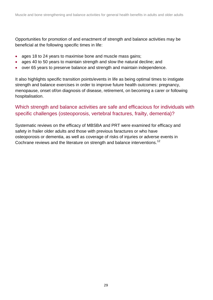Opportunities for promotion of and enactment of strength and balance activities may be beneficial at the following specific times in life:

- ages 18 to 24 years to maximise bone and muscle mass gains;
- ages 40 to 50 years to maintain strength and slow the natural decline; and
- over 65 years to preserve balance and strength and maintain independence.

It also highlights specific transition points/events in life as being optimal times to instigate strength and balance exercises in order to improve future health outcomes: pregnancy, menopause, onset of/on diagnosis of disease, retirement, on becoming a carer or following hospitalisation.

### Which strength and balance activities are safe and efficacious for individuals with specific challenges (osteoporosis, vertebral fractures, frailty, dementia)?

Systematic reviews on the efficacy of MBSBA and PRT were examined for efficacy and safety in frailer older adults and those with previous faractures or who have osteoporosis or dementia, as well as coverage of risks of injuries or adverse events in Cochrane reviews and the literature on strength and balance interventions.<sup>12</sup>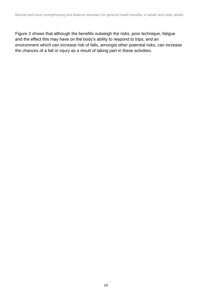Figure 2 shows that although the benefits outweigh the risks, poor technique, fatigue and the effect this may have on the body's ability to respond to trips, and an environment which can increase risk of falls, amongst other potential risks, can increase the chances of a fall or injury as a result of taking part in these activities.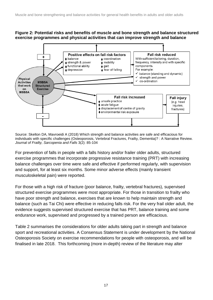#### **Figure 2: Potential risks and benefits of muscle and bone strength and balance structured exercise programmes and physical activities that can improve strength and balance**



Source: Skelton DA, Mavroeidi A (2018) Which strength and balance activities are safe and efficacious for individuals with specific challenges (Osteoporosis, Vertebral Fractures, Frailty, Dementia)? : A Narrative Review. *Journal of Frailty, Sarcopenia and Falls* 3(2): 85-104

For prevention of falls in people with a falls history and/or frailer older adults, structured exercise programmes that incorporate progressive resistance training (PRT) with increasing balance challenges over time were safe and effective if performed regularly, with supervision and support, for at least six months. Some minor adverse effects (mainly transient musculoskeletal pain) were reported.

For those with a high risk of fracture (poor balance, frailty, vertebral fractures), supervised structured exercise programmes were most appropriate. For those in transition to frailty who have poor strength and balance, exercises that are known to help maintain strength and balance (such as Tai Chi) were effective in reducing falls risk. For the very frail older adult, the evidence suggests supervised structured exercise that has PRT, balance training and some endurance work, supervised and progressed by a trained person are efficacious.

Table 2 summarises the considerations for older adults taking part in strength and balance sport and recreational activities. A Consensus Statement is under development by the National Osteoporosis Society on exercise recommendations for people with osteoporosis, and will be finalised in late 2018. This forthcoming (more in-depth) review of the literature may alter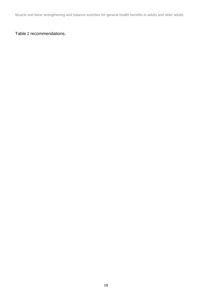Muscle and bone strengthening and balance activities for general health benefits in adults and older adults

### <span id="page-17-0"></span>[Table](#page-17-0) 2 recommendations.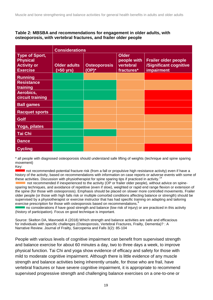#### **Table 2: MBSBA and recommendations for engagement in older adults, with osteoporosis, with vertebral fractures, and frailer older people**

|                                                                                   | <b>Considerations</b>                     |                                 |                                                        |                                                                                   |
|-----------------------------------------------------------------------------------|-------------------------------------------|---------------------------------|--------------------------------------------------------|-----------------------------------------------------------------------------------|
| <b>Type of Sport,</b><br><b>Physical</b><br><b>Activity or</b><br><b>Exercise</b> | <b>Older adults</b><br>$(50 \text{ yrs})$ | <b>Osteoporosis</b><br>$(OP)^*$ | <b>Older</b><br>people with<br>vertebral<br>fractures* | <b>Frailer older people</b><br>/Significant cognitive<br><i><b>impairment</b></i> |
| <b>Running</b>                                                                    |                                           |                                 |                                                        |                                                                                   |
| <b>Resistance</b><br>training                                                     |                                           |                                 |                                                        |                                                                                   |
| Aerobics,<br>circuit training                                                     |                                           |                                 |                                                        |                                                                                   |
| <b>Ball games</b>                                                                 |                                           |                                 |                                                        |                                                                                   |
| <b>Racquet sports</b>                                                             |                                           |                                 |                                                        |                                                                                   |
| <b>Golf</b>                                                                       |                                           |                                 |                                                        |                                                                                   |
| Yoga, pilates                                                                     |                                           |                                 |                                                        |                                                                                   |
| <b>Tai Chi</b>                                                                    |                                           |                                 |                                                        |                                                                                   |
| <b>Dance</b>                                                                      |                                           |                                 |                                                        |                                                                                   |
| <b>Cycling</b>                                                                    |                                           |                                 |                                                        |                                                                                   |

\* all people with diagnosed osteoporosis should understand safe lifting of weights (technique and spine sparing movement)

Key:

 not recommended-potential fracture risk (from a fall or propulsive high resistance activity) even if have a history of the activity, based on recommendations with information on case reports or adverse events with some of these activities. Discussion with physiotherapist for spine sparing tips if practiced in activity.<sup>14</sup>

 not recommended if inexperienced to the activity (OP or frailer older people), without advice on spinesparing techniques, and avoidance of repetitive (even if slow), weighted or rapid end range flexion or extension of the spine (for those with osteoporosis). Emphasis should be placed on slower more controlled movements. Frailer older people (or those with high falls risk or multiple comorbid conditions affecting balance or strength) should be supervised by a physiotherapist or exercise instructor that has had specific training on adapting and tailoring exercise prescription for those with osteoporosis based on recommendations.

no considerations if have good strength and balance (low risk of injury) or are practiced in this activity (history of participation). Focus on good technique is important.

Source: Skelton DA, Mavroeidi A (2018) Which strength and balance activities are safe and efficacious for individuals with specific challenges (Osteoporosis, Vertebral Fractures, Frailty, Dementia)? : A Narrative Review. Journal of Frailty, Sarcopenia and Falls 3(2): 85-104

People with various levels of cognitive impairment can benefit from supervised strength and balance exercise for about 60 minutes a day, two to three days a week, to improve physical function. Tai Chi and yoga show evidence of efficacy and safety for those with mild to moderate cognitive impairment. Although there is little evidence of any muscle strength and balance activities being inherently unsafe, for those who are frail, have vertebral fractures or have severe cognitive impairment, it is appropriate to recommend supervised progressive strength and challenging balance exercises on a one-to-one or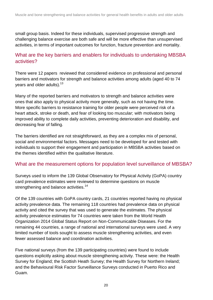small group basis. Indeed for these individuals, supervised progressive strength and challenging balance exercise are both safe and will be more effective than unsupervised activities, in terms of important outcomes for function, fracture prevention and mortality.

### What are the key barriers and enablers for individuals to undertaking MBSBA activities?

There were 12 papers reviewed that considered evidence on professional and personal barriers and motivators for strength and balance activities among adults (aged 40 to 74 years and older adults).<sup>13</sup>

Many of the reported barriers and motivators to strength and balance activities were ones that also apply to physical activity more generally, such as not having the time. More specific barriers to resistance training for older people were perceived risk of a heart attack, stroke or death, and fear of looking too muscular; with motivators being improved ability to complete daily activities, preventing deterioration and disability, and decreasing fear of falling.

The barriers identified are not straightforward, as they are a complex mix of personal, social and environmental factors. Messages need to be developed for and tested with individuals to support their engagement and participation in MBSBA activities based on the themes identified within the qualitative literature.

### What are the measurement options for population level surveillance of MBSBA?

Surveys used to inform the 139 Global Observatory for Physical Activity (GoPA) country card prevalence estimates were reviewed to determine questions on muscle strengthening and balance activities.<sup>14</sup>

Of the 139 countries with GoPA country cards, 21 countries reported having no physical activity prevalence data. The remaining 118 countries had prevalence data on physical activity and cited the survey that was used to generate the estimates. The physical activity prevalence estimates for 74 countries were taken from the World Health Organization 2014 Global Status Report on Non-Communicable Diseases. For the remaining 44 countries, a range of national and international surveys were used. A very limited number of tools sought to assess muscle strengthening activities, and even fewer assessed balance and coordination activities.

Five national surveys (from the 139 participating countries) were found to include questions explicitly asking about muscle strengthening activity. These were: the Health Survey for England; the Scottish Heath Survey; the Health Survey for Northern Ireland; and the Behavioural Risk Factor Surveillance Surveys conducted in Puerto Rico and Guam.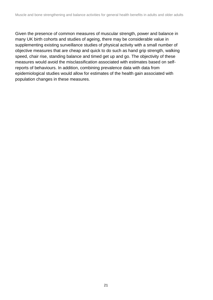Given the presence of common measures of muscular strength, power and balance in many UK birth cohorts and studies of ageing, there may be considerable value in supplementing existing surveillance studies of physical activity with a small number of objective measures that are cheap and quick to do such as hand grip strength, walking speed, chair rise, standing balance and timed get up and go. The objectivity of these measures would avoid the misclassification associated with estimates based on selfreports of behaviours. In addition, combining prevalence data with data from epidemiological studies would allow for estimates of the health gain associated with population changes in these measures.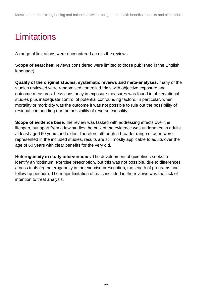# <span id="page-21-0"></span>**Limitations**

A range of limitations were encountered across the reviews:

**Scope of searches:** reviews considered were limited to those published in the English language).

**Quality of the original studies, systematic reviews and meta-analyses:** many of the studies reviewed were randomised controlled trials with objective exposure and outcome measures. Less constancy in exposure measures was found in observational studies plus inadequate control of potential confounding factors. In particular, when mortality or morbidity was the outcome it was not possible to rule out the possibility of residual confounding nor the possibility of reverse causality.

**Scope of evidence base:** the review was tasked with addressing effects over the lifespan, but apart from a few studies the bulk of the evidence was undertaken in adults at least aged 60 years and older. Therefore although a broader range of ages were represented in the included studies, results are still mostly applicable to adults over the age of 60 years with clear benefits for the very old.

**Heterogeneity in study interventions:** The development of guidelines seeks to identify an 'optimum' exercise prescription, but this was not possible, due to differences across trials (eg heterogeneity in the exercise prescription, the length of programs and follow up periods). The major limitation of trials included in the reviews was the lack of intention to treat analysis.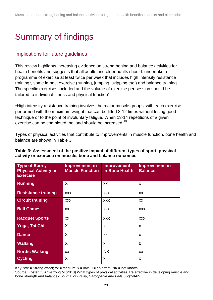# <span id="page-22-0"></span>Summary of findings

### Implications for future guidelines

This review highlights increasing evidence on strengthening and balance activities for health benefits and suggests that all adults and older adults should: undertake a programme of exercise at least twice per week that includes high intensity resistance training\*, some impact exercise (running, jumping, skipping etc.) and balance training. The specific exercises included and the volume of exercise per session should be tailored to individual fitness and physical function".

\*High intensity resistance training involves the major muscle groups, with each exercise performed with the maximum weight that can be lifted 8-12 times without losing good technique or to the point of involuntary fatigue. When 13-14 repetitions of a given exercise can be completed the load should be increased.<sup>15</sup>

Types of physical activities that contribute to improvements in muscle function, bone health and balance are shown in Table 3.

| Type of Sport,<br><b>Physical Activity or</b><br><b>Exercise</b> | Improvement in<br><b>Muscle Function</b> | <b>Improvement</b><br>in Bone Health | <b>Improvement in</b><br><b>Balance</b> |
|------------------------------------------------------------------|------------------------------------------|--------------------------------------|-----------------------------------------|
| Running                                                          | X                                        | <b>XX</b>                            | X                                       |
| <b>Resistance training</b>                                       | <b>XXX</b>                               | <b>XXX</b>                           | XX                                      |
| <b>Circuit training</b>                                          | <b>XXX</b>                               | <b>XXX</b>                           | XX                                      |
| <b>Ball Games</b>                                                | XX                                       | <b>XXX</b>                           | <b>XXX</b>                              |
| <b>Racquet Sports</b>                                            | XX                                       | <b>XXX</b>                           | <b>XXX</b>                              |
| Yoga, Tai Chi                                                    | X                                        | X                                    | $\boldsymbol{\mathsf{x}}$               |
| <b>Dance</b>                                                     | X                                        | <b>XX</b>                            | $\boldsymbol{\mathsf{x}}$               |
| <b>Walking</b>                                                   | X                                        | X                                    | $\overline{0}$                          |
| <b>Nordic Walking</b>                                            | XX                                       | <b>NK</b>                            | XX                                      |
| <b>Cycling</b>                                                   | X                                        | X                                    | X                                       |

#### **Table 3: Assessment of the positive impact of different types of sport, physical activity or exercise on muscle, bone and balance outcomes**

Key:  $xxx =$  Strong effect;  $xx =$  medium;  $x =$  low;  $0 =$  no effect; NK = not known

Source: Foster C, Armstrong M (2018) What types of physical activities are effective in developing muscle and bone strength and balance? *Journal of Frailty, Sarcopenia and Falls* 3(2):58-65.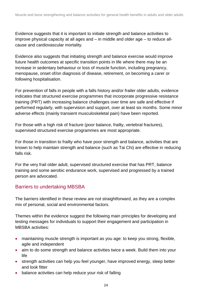Evidence suggests that it is important to initiate strength and balance activities to improve physical capacity at all ages and – in middle and older age – to reduce allcause and cardiovascular mortality.

Evidence also suggests that initiating strength and balance exercise would improve future health outcomes at specific transition points in life where there may be an increase in sedentary behaviour or loss of muscle function, including pregnancy, menopause, onset of/on diagnosis of disease, retirement, on becoming a carer or following hospitalisation.

For prevention of falls in people with a falls history and/or frailer older adults, evidence indicates that structured exercise programmes that incorporate progressive resistance training (PRT) with increasing balance challenges over time are safe and effective if performed regularly, with supervision and support, over at least six months. Some minor adverse effects (mainly transient musculoskeletal pain) have been reported.

For those with a high risk of fracture (poor balance, frailty, vertebral fractures), supervised structured exercise programmes are most appropriate.

For those in transition to frailty who have poor strength and balance, activities that are known to help maintain strength and balance (such as Tai Chi) are effective in reducing falls risk.

For the very frail older adult, supervised structured exercise that has PRT, balance training and some aerobic endurance work, supervised and progressed by a trained person are advocated.

### Barriers to undertaking MBSBA

The barriers identified in these review are not straightforward, as they are a complex mix of personal, social and environmental factors.

Themes within the evidence suggest the following main principles for developing and testing messages for individuals to support their engagement and participation in MBSBA activities:

- maintaining muscle strength is important as you age: to keep you strong, flexible, agile and independent
- aim to do some strength and balance activities twice a week. Build them into your life
- strength activities can help you feel younger, have improved energy, sleep better and look fitter
- balance activities can help reduce your risk of falling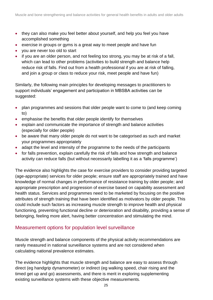- they can also make you feel better about yourself, and help you feel you have accomplished something
- exercise in groups or gyms is a great way to meet people and have fun
- you are never too old to start
- if you are an older person, and not feeling too strong, you may be at risk of a fall, which can lead to other problems (activities to build strength and balance help reduce risk of falls. Find out from a health professional if you are at risk of falling, and join a group or class to reduce your risk, meet people and have fun)

Similarly, the following main principles for developing messages to practitioners to support individuals' engagement and participation in MBSBA activities can be suggested:

- plan programmes and sessions that older people want to come to (and keep coming to)
- emphasise the benefits that older people identify for themselves
- explain and communicate the importance of strength and balance activities (especially for older people)
- be aware that many older people do not want to be categorised as such and market your programmes appropriately
- adapt the level and intensity of the programme to the needs of the participants
- for falls prevention, explain carefully the risk of falls and how strength and balance activity can reduce falls (but without necessarily labelling it as a 'falls programme')

The evidence also highlights the case for exercise providers to consider providing targeted (age-appropriate) services for older people; ensure staff are appropriately trained and have knowledge of normal changes in performance of resistance training by older people; and appropriate prescription and progression of exercise based on capability assessment and health status. Services and programmes need to be marketed by focusing on the positive attributes of strength training that have been identified as motivators by older people. This could include such factors as increasing muscle strength to improve health and physical functioning, preventing functional decline or deterioration and disability, providing a sense of belonging, feeling more alert, having better concentration and stimulating the mind.

### Measurement options for population level surveillance

Muscle strength and balance components of the physical activity recommendations are rarely measured in national surveillance systems and are not considered when calculating national prevalence estimates.

The evidence highlights that muscle strength and balance are easy to assess through direct (eg handgrip dynamometer) or indirect (eg walking speed, chair rising and the timed get up and go) assessments, and there is merit in exploring supplementing existing surveillance systems with these objective measurements.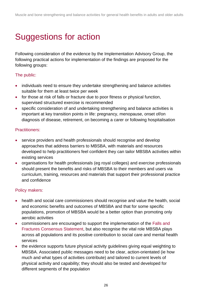# <span id="page-25-0"></span>Suggestions for action

Following consideration of the evidence by the Implementation Advisory Group, the following practical actions for implementation of the findings are proposed for the following groups:

#### The public:

- individuals need to ensure they undertake strengthening and balance activities suitable for them at least twice per week
- for those at risk of falls or fracture due to poor fitness or physical function, supervised structured exercise is recommended
- specific consideration of and undertaking strengthening and balance activities is important at key transition points in life: pregnancy, menopause, onset of/on diagnosis of disease, retirement, on becoming a carer or following hospitalisation

#### Practitioners:

- service providers and health professionals should recognise and develop approaches that address barriers to MBSBA, with materials and resources developed to help practitioners feel confident they can tailor MBSBA activities within existing services
- organisations for health professionals (eg royal colleges) and exercise professionals should present the benefits and risks of MBSBA to their members and users via curriculum, training, resources and materials that support their professional practice and confidence

### Policy makers:

- health and social care commissioners should recognise and value the health, social and economic benefits and outcomes of MBSBA and that for some specific populations, promotion of MBSBA would be a better option than promoting only aerobic activities
- commissioners are encouraged to support the implementation of the [Falls and](https://www.gov.uk/government/publications/falls-and-fractures-consensus-statement)  [Fractures Consensus Statement,](https://www.gov.uk/government/publications/falls-and-fractures-consensus-statement) but also recognise the vital role MBSBA plays across all populations and its positive contribution to social care and mental health services
- the evidence supports future physical activity guidelines giving equal weighting to MBSBA. Associated public messages need to be clear, action-orientated (ie how much and what types of activities contribute) and tailored to current levels of physical activity and capability; they should also be tested and developed for different segments of the population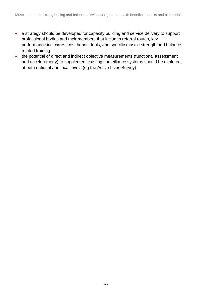- a strategy should be developed for capacity building and service delivery to support professional bodies and their members that includes referral routes, key performance indicators, cost benefit tools, and specific muscle strength and balance related training
- <span id="page-26-0"></span>• the potential of direct and indirect objective measurements (functional assessment and accelerometry) to supplement existing surveillance systems should be explored, at both national and local levels (eg the Active Lives Survey)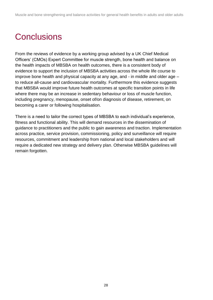# **Conclusions**

From the reviews of evidence by a working group advised by a UK Chief Medical Officers' (CMOs) Expert Committee for muscle strength, bone health and balance on the health impacts of MBSBA on health outcomes, there is a consistent body of evidence to support the inclusion of MBSBA activities across the whole life course to improve bone health and physical capacity at any age, and - in middle and older age – to reduce all-cause and cardiovascular mortality. Furthermore this evidence suggests that MBSBA would improve future health outcomes at specific transition points in life where there may be an increase in sedentary behaviour or loss of muscle function, including pregnancy, menopause, onset of/on diagnosis of disease, retirement, on becoming a carer or following hospitalisation.

There is a need to tailor the correct types of MBSBA to each individual's experience, fitness and functional ability. This will demand resources in the dissemination of guidance to practitioners and the public to gain awareness and traction. Implementation across practice, service provision, commissioning, policy and surveillance will require resources, commitment and leadership from national and local stakeholders and will require a dedicated new strategy and delivery plan. Otherwise MBSBA guidelines will remain forgotten.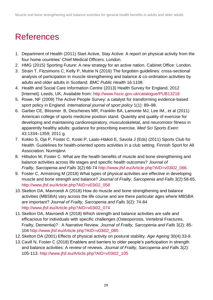# <span id="page-28-0"></span>**References**

- 1. Department of Health (2011) Start Active, Stay Active: A report on physical activity from the four home countries' Chief Medical Officers. London.
- 2. HMG (2015) Sporting Future: A new strategy for an active nation. Cabinet Office: London.
- 3. Strain T, Fitzsimons C, Kelly P, Mutrie N (2016) The forgotten guidelines: cross-sectional analysis of participation in muscle strengthening and balance & co-ordination activities by adults and older adults in Scotland. *BMC Public Health* 16:1108.
- 4. Health and Social Care Information Centre (2013) Health Survey for England, 2012 [Internet]. Leeds, UK; Available from:<http://www.hscic.gov.uk/catalogue/PUB13218>
- 5. Rowe, NF (2009) The Active People Survey: a catalyst for transforming evidence-based sport policy in England. *International journal of sport policy* 1(1): 89–98.
- 6. Garber CE, Blissmer B, Deschenes MR, Franklin BA, Lamonte MJ, Lee IM., et al (2011) American college of sports medicine position stand. Quantity and quality of exercise for developing and maintaining cardiorespiratory, musculoskeletal, and neuromotor fitness in apparently healthy adults: guidance for prescribing exercise. *Med Sci Sports Exerc* 43:1334–1359; 2011 g.
- 7. Kokko S, Oja P, Foster C, Koski P, Laalo-Häikiö E, Savola J (Eds) (2011) Sports Club for Health. Guidelines for health-oriented sports activities in a club setting. Finnish Sport for All Association: Nurmijärvi.
- 8. Hillsdon M, Foster C. What are the health benefits of muscle and bone strengthening and balance activities across life stages and specific health outcomes? *Journal of Frailty, Sarcopenia and Falls* 3(2):66-74 [http://www.jfsf.eu/Article.php?AID=v03i02\\_066](http://www.jfsf.eu/Article.php?AID=v03i02_066)
- 9. Foster C, Armstrong M (2018) What types of physical activities are effective in developing muscle and bone strength and balance? *Journal of Frailty, Sarcopenia and Falls* 3(2):58-65. [http://www.jfsf.eu/Article.php?AID=v03i02\\_058](http://www.jfsf.eu/Article.php?AID=v03i02_058)
- 10.Skelton DA, Mavroeidi A (2018) How do muscle and bone strengthening and balance activities (MBSBA) vary across the life course and are there particular ages where MBSBA are important? *Journal of Frailty, Sarcopenia and Falls* 3(2): 74-84 [http://www.jfsf.eu/Article.php?AID=v03i02\\_074](http://www.jfsf.eu/Article.php?AID=v03i02_074)
- 11.Skelton DA, Mavroeidi A (2018) Which strength and balance activities are safe and efficacious for individuals with specific challenges (Osteoporosis, Vertebral Fractures, Frailty, Dementia)? : A Narrative Review. *Journal of Frailty, Sarcopenia and Falls* 3(2): 85- 104 [http://www.jfsf.eu/Article.php?AID=v03i02\\_085](http://www.jfsf.eu/Article.php?AID=v03i02_085)
- 12.Skelton DA (2001) Effects of physical activity on postural stability. *Age Ageing* 30(4):33-9.
- 13.Cavill N, Foster C (2018) Enablers and barriers to older people's participation in strength and balance activities: A review of reviews. *Journal of Frailty, Sarcopenia and Falls* 3(2): 105-113. [http://www.jfsf.eu/Article.php?AID=v03i02\\_105](http://www.jfsf.eu/Article.php?AID=v03i02_105)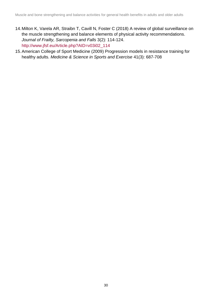- 14.Milton K, Varela AR, Straibn T, Cavill N, Foster C (2018) A review of global surveillance on the muscle strengthening and balance elements of physical activity recommendations. *Journal of Frailty, Sarcopenia and Falls* 3(2): 114-124. [http://www.jfsf.eu/Article.php?AID=v03i02\\_114](http://www.jfsf.eu/Article.php?AID=v03i02_114)
- 15.American College of Sport Medicine (2009) Progression models in resistance training for healthy adults. *Medicine & Science in Sports and Exercise* 41(3): 687-708